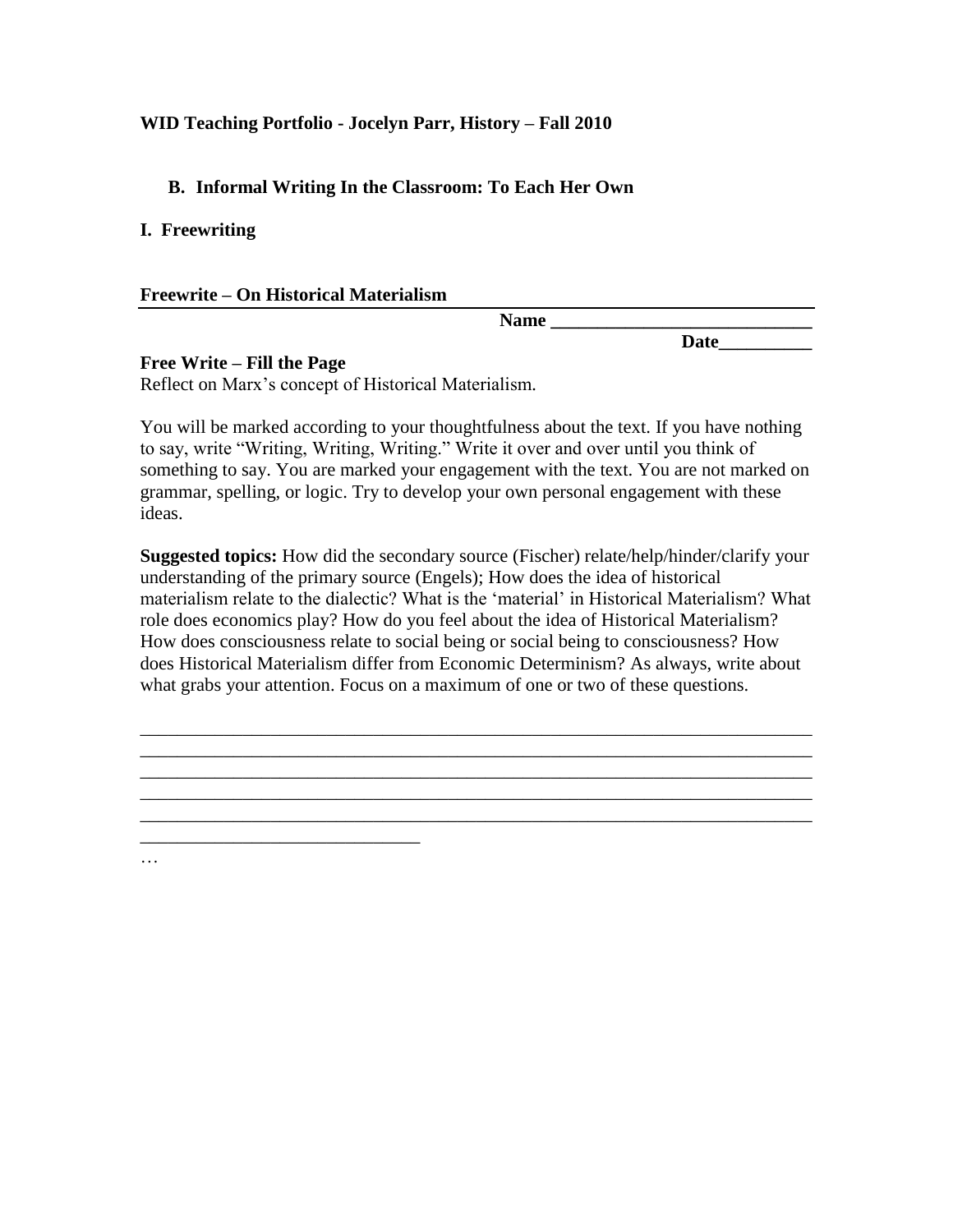## **WID Teaching Portfolio - Jocelyn Parr, History – Fall 2010**

# **B. Informal Writing In the Classroom: To Each Her Own**

**I. Freewriting**

### **Freewrite – On Historical Materialism**

*\_\_\_\_\_\_\_\_\_\_\_\_\_\_\_\_\_\_\_\_\_\_\_\_\_\_\_\_\_\_*

…

**Name \_\_\_\_\_\_\_\_\_\_\_\_\_\_\_\_\_\_\_\_\_\_\_\_\_\_\_\_**

**Date\_\_\_\_\_\_\_\_\_\_**

## **Free Write – Fill the Page**

Reflect on Marx"s concept of Historical Materialism*.*

You will be marked according to your thoughtfulness about the text. If you have nothing to say, write "Writing, Writing, Writing." Write it over and over until you think of something to say. You are marked your engagement with the text. You are not marked on grammar, spelling, or logic. Try to develop your own personal engagement with these ideas.

**Suggested topics:** How did the secondary source (Fischer) relate/help/hinder/clarify your understanding of the primary source (Engels); How does the idea of historical materialism relate to the dialectic? What is the "material" in Historical Materialism? What role does economics play? How do you feel about the idea of Historical Materialism? How does consciousness relate to social being or social being to consciousness? How does Historical Materialism differ from Economic Determinism? As always, write about what grabs your attention. Focus on a maximum of one or two of these questions.

*\_\_\_\_\_\_\_\_\_\_\_\_\_\_\_\_\_\_\_\_\_\_\_\_\_\_\_\_\_\_\_\_\_\_\_*\_\_\_\_\_\_\_\_\_\_\_\_\_\_\_\_\_\_\_\_\_\_\_\_\_\_\_\_*\_\_\_\_\_\_\_\_\_ \_\_\_\_\_\_\_\_\_\_\_\_\_\_\_\_\_\_\_\_\_\_\_\_\_\_*\_\_\_\_\_\_\_\_\_\_\_\_\_\_\_\_\_\_\_\_\_\_\_\_\_\_\_\_*\_\_\_\_\_\_\_\_\_\_\_\_\_\_\_\_\_\_ \_\_\_\_\_\_\_\_\_\_\_\_\_\_\_\_\_\_\_\_\_\_\_\_\_\_\_\_\_\_\_\_\_\_\_\_\_\_\_\_\_\_\_\_\_\_\_\_\_\_\_\_\_\_\_\_\_\_\_\_\_\_\_\_\_\_\_\_\_\_\_\_ \_\_\_\_\_\_\_\_\_\_\_\_\_\_\_\_\_\_\_\_\_\_\_\_\_\_\_\_\_\_\_\_\_\_\_\_\_\_\_\_\_\_\_\_\_\_\_\_\_\_\_\_\_\_\_\_\_\_\_\_\_\_\_\_\_\_\_\_\_\_\_\_ \_\_\_\_\_\_\_\_\_\_\_\_\_\_\_\_\_\_\_\_\_\_\_\_\_\_\_\_\_\_\_\_\_\_\_\_\_\_\_\_\_\_\_\_\_\_\_\_\_\_\_\_\_\_\_\_\_\_\_\_\_\_\_\_\_\_\_\_\_\_\_\_*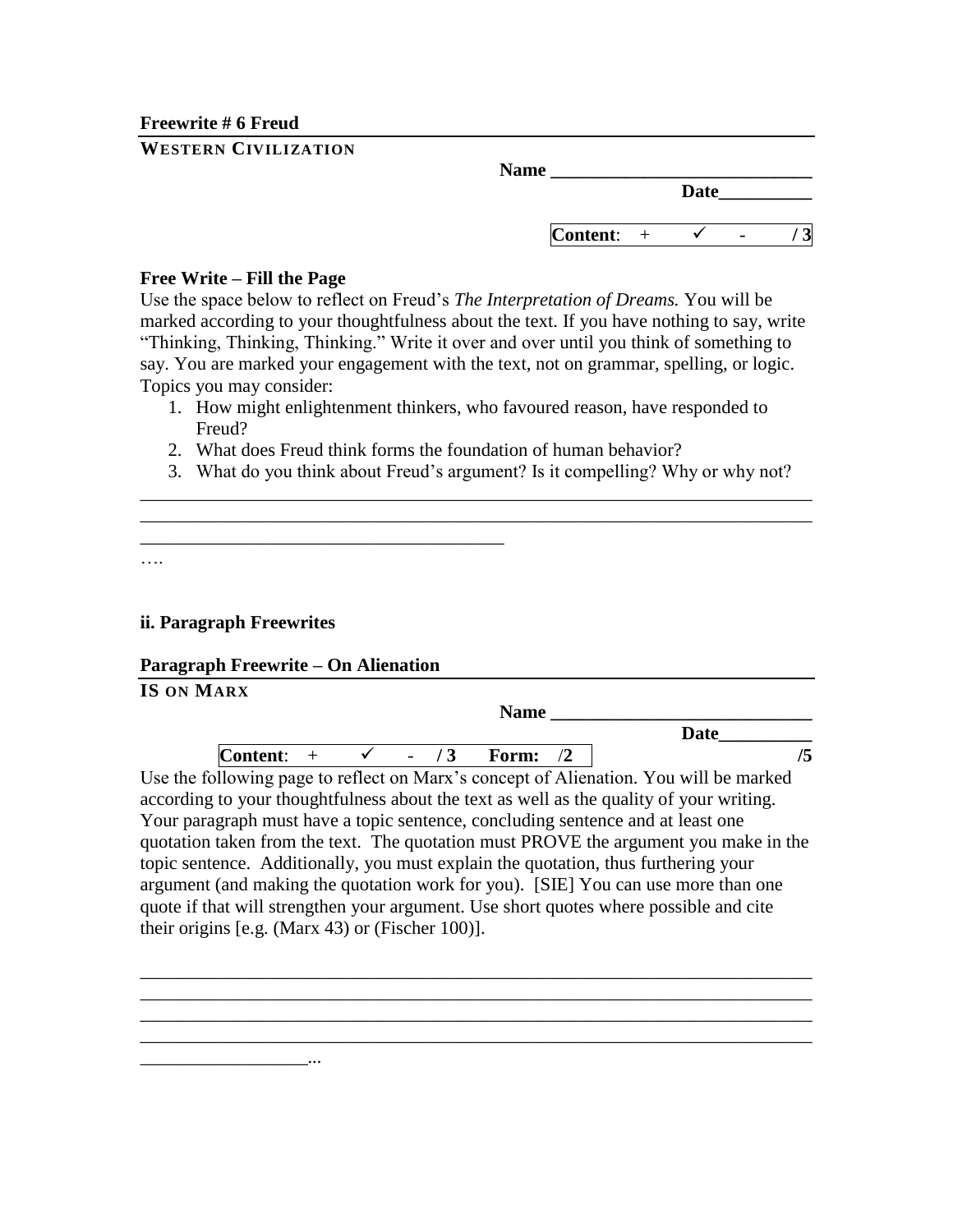**Freewrite # 6 Freud**

| <b>WESTERN CIVILIZATION</b> |
|-----------------------------|
|-----------------------------|

| <b>Name</b>     |      |  |
|-----------------|------|--|
|                 | Date |  |
| <b>Content:</b> |      |  |

#### **Free Write – Fill the Page**

Use the space below to reflect on Freud"s *The Interpretation of Dreams.* You will be marked according to your thoughtfulness about the text. If you have nothing to say, write "Thinking, Thinking, Thinking." Write it over and over until you think of something to say. You are marked your engagement with the text, not on grammar, spelling, or logic. Topics you may consider:

- 1. How might enlightenment thinkers, who favoured reason, have responded to Freud?
- 2. What does Freud think forms the foundation of human behavior?
- 3. What do you think about Freud"s argument? Is it compelling? Why or why not? *\_\_\_\_\_\_\_\_\_\_\_\_\_\_\_\_\_\_\_\_\_\_\_\_\_\_\_\_\_\_\_\_\_\_\_\_\_\_\_\_\_\_\_\_\_\_\_\_\_\_\_\_\_\_\_\_\_\_\_\_\_\_\_\_\_\_\_\_\_\_\_\_*

*\_\_\_\_\_\_\_\_\_\_\_\_\_\_\_\_\_\_\_\_\_\_\_\_\_\_\_\_\_\_\_\_\_\_\_\_\_\_\_\_\_\_\_\_\_\_\_\_\_\_\_\_\_\_\_\_\_\_\_\_\_\_\_\_\_\_\_\_\_\_\_\_*

….

### **ii. Paragraph Freewrites**

### **Paragraph Freewrite – On Alienation**

*\_\_\_\_\_\_\_\_\_\_\_\_\_\_\_\_\_\_\_\_\_\_\_\_\_\_\_\_\_\_\_\_\_\_\_\_\_\_\_*

| <b>IS ON MARX</b>                                                                       |       | <b>Name</b> |                                                                                      |
|-----------------------------------------------------------------------------------------|-------|-------------|--------------------------------------------------------------------------------------|
|                                                                                         |       |             | <b>Date</b>                                                                          |
| Content:                                                                                | $-13$ | Form:       | /5                                                                                   |
| Use the following page to reflect on Marx's concept of Alienation. You will be marked   |       |             |                                                                                      |
| according to your thoughtfulness about the text as well as the quality of your writing. |       |             |                                                                                      |
| Your paragraph must have a topic sentence, concluding sentence and at least one         |       |             |                                                                                      |
|                                                                                         |       |             | quotation taken from the text. The quotation must PROVE the argument you make in the |
| topic sentence. Additionally, you must explain the quotation, thus furthering your      |       |             |                                                                                      |
| argument (and making the quotation work for you). [SIE] You can use more than one       |       |             |                                                                                      |
| quote if that will strengthen your argument. Use short quotes where possible and cite   |       |             |                                                                                      |
| their origins [e.g. (Marx 43) or (Fischer 100)].                                        |       |             |                                                                                      |

*\_\_\_\_\_\_\_\_\_\_\_\_\_\_\_\_\_\_\_\_\_\_\_\_\_\_\_\_\_\_\_\_\_\_\_\_\_\_\_\_\_\_\_\_\_\_\_\_\_\_\_\_\_\_\_\_\_\_\_\_\_\_\_\_\_\_\_\_\_\_\_\_*

*\_\_\_\_\_\_\_\_\_\_\_\_\_\_\_\_\_\_\_\_\_\_\_\_\_\_\_\_\_\_\_\_\_\_\_\_\_\_\_\_\_\_\_\_\_\_\_\_\_\_\_\_\_\_\_\_\_\_\_\_\_\_\_\_\_\_\_\_\_\_\_\_ \_\_\_\_\_\_\_\_\_\_\_\_\_\_\_\_\_\_\_\_\_\_\_\_\_\_\_\_\_\_\_\_\_\_\_\_\_\_\_\_\_\_\_\_\_\_\_\_\_\_\_\_\_\_\_\_\_\_\_\_\_\_\_\_\_\_\_\_\_\_\_\_*

*\_\_\_\_\_\_\_\_\_\_\_\_\_\_\_\_\_\_...*